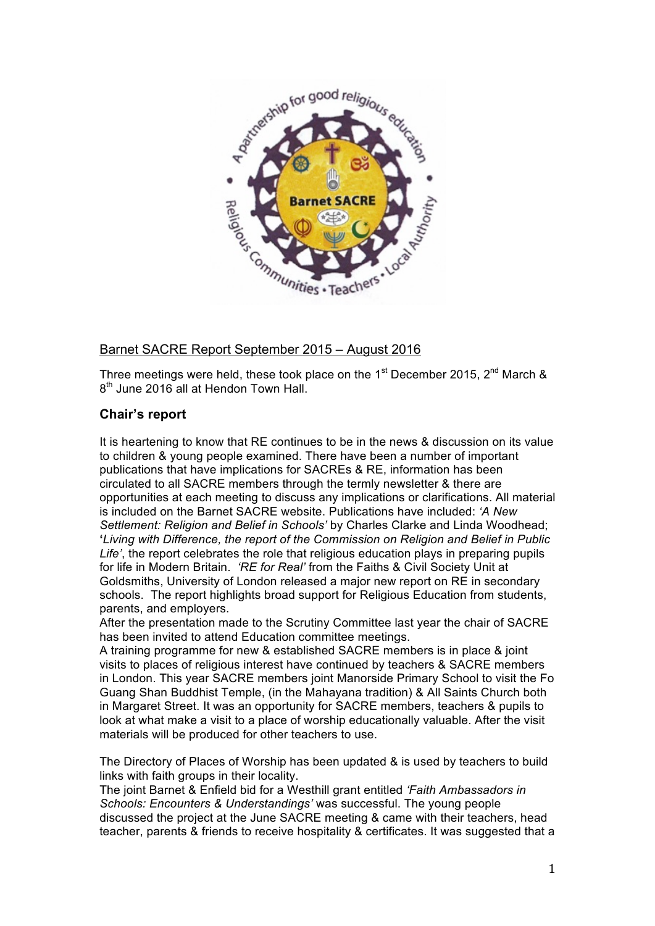

# Barnet SACRE Report September 2015 – August 2016

Three meetings were held, these took place on the 1<sup>st</sup> December 2015, 2<sup>nd</sup> March &  $8<sup>th</sup>$  June 2016 all at Hendon Town Hall.

# **Chair's report**

It is heartening to know that RE continues to be in the news & discussion on its value to children & young people examined. There have been a number of important publications that have implications for SACREs & RE, information has been circulated to all SACRE members through the termly newsletter & there are opportunities at each meeting to discuss any implications or clarifications. All material is included on the Barnet SACRE website. Publications have included: *'A New Settlement: Religion and Belief in Schools'* by Charles Clarke and Linda Woodhead; **'***Living with Difference, the report of the Commission on Religion and Belief in Public Life'*, the report celebrates the role that religious education plays in preparing pupils for life in Modern Britain. *'RE for Real'* from the Faiths & Civil Society Unit at Goldsmiths, University of London released a major new report on RE in secondary schools. The report highlights broad support for Religious Education from students, parents, and employers.

After the presentation made to the Scrutiny Committee last year the chair of SACRE has been invited to attend Education committee meetings.

A training programme for new & established SACRE members is in place & joint visits to places of religious interest have continued by teachers & SACRE members in London. This year SACRE members joint Manorside Primary School to visit the Fo Guang Shan Buddhist Temple, (in the Mahayana tradition) & All Saints Church both in Margaret Street. It was an opportunity for SACRE members, teachers & pupils to look at what make a visit to a place of worship educationally valuable. After the visit materials will be produced for other teachers to use.

The Directory of Places of Worship has been updated & is used by teachers to build links with faith groups in their locality.

The joint Barnet & Enfield bid for a Westhill grant entitled *'Faith Ambassadors in Schools: Encounters & Understandings'* was successful. The young people discussed the project at the June SACRE meeting & came with their teachers, head teacher, parents & friends to receive hospitality & certificates. It was suggested that a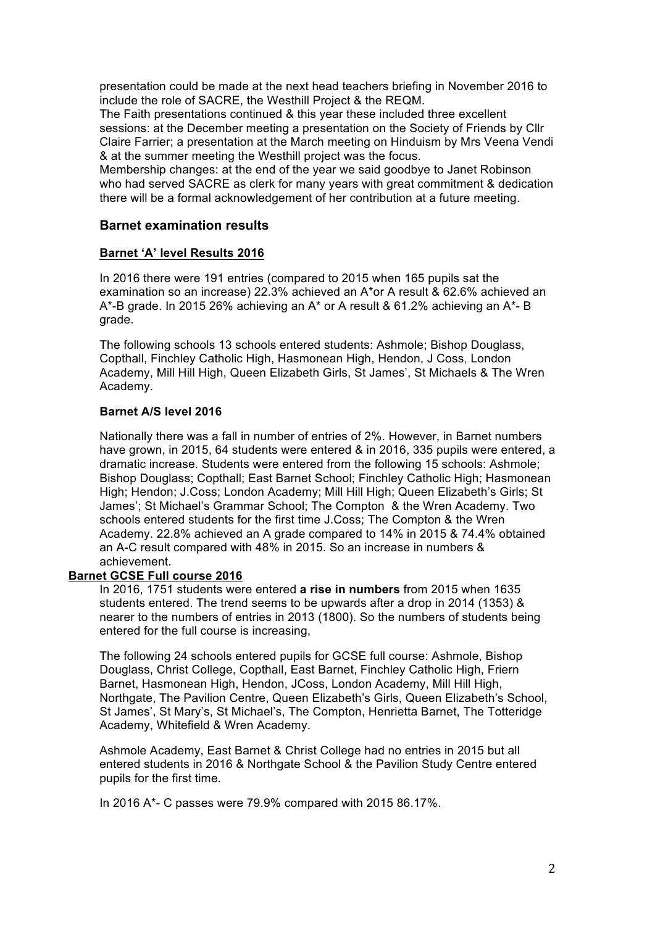presentation could be made at the next head teachers briefing in November 2016 to include the role of SACRE, the Westhill Project & the REQM.

The Faith presentations continued & this year these included three excellent sessions: at the December meeting a presentation on the Society of Friends by Cllr Claire Farrier; a presentation at the March meeting on Hinduism by Mrs Veena Vendi & at the summer meeting the Westhill project was the focus.

Membership changes: at the end of the year we said goodbye to Janet Robinson who had served SACRE as clerk for many years with great commitment & dedication there will be a formal acknowledgement of her contribution at a future meeting.

## **Barnet examination results**

#### **Barnet 'A' level Results 2016**

In 2016 there were 191 entries (compared to 2015 when 165 pupils sat the examination so an increase) 22.3% achieved an A\*or A result & 62.6% achieved an A\*-B grade. In 2015 26% achieving an A\* or A result & 61.2% achieving an A\*- B grade.

The following schools 13 schools entered students: Ashmole; Bishop Douglass, Copthall, Finchley Catholic High, Hasmonean High, Hendon, J Coss, London Academy, Mill Hill High, Queen Elizabeth Girls, St James', St Michaels & The Wren Academy.

### **Barnet A/S level 2016**

Nationally there was a fall in number of entries of 2%. However, in Barnet numbers have grown, in 2015, 64 students were entered & in 2016, 335 pupils were entered, a dramatic increase. Students were entered from the following 15 schools: Ashmole; Bishop Douglass; Copthall; East Barnet School; Finchley Catholic High; Hasmonean High; Hendon; J.Coss; London Academy; Mill Hill High; Queen Elizabeth's Girls; St James'; St Michael's Grammar School; The Compton & the Wren Academy. Two schools entered students for the first time J.Coss; The Compton & the Wren Academy. 22.8% achieved an A grade compared to 14% in 2015 & 74.4% obtained an A-C result compared with 48% in 2015. So an increase in numbers & achievement.

#### **Barnet GCSE Full course 2016**

In 2016, 1751 students were entered **a rise in numbers** from 2015 when 1635 students entered. The trend seems to be upwards after a drop in 2014 (1353) & nearer to the numbers of entries in 2013 (1800). So the numbers of students being entered for the full course is increasing,

The following 24 schools entered pupils for GCSE full course: Ashmole, Bishop Douglass, Christ College, Copthall, East Barnet, Finchley Catholic High, Friern Barnet, Hasmonean High, Hendon, JCoss, London Academy, Mill Hill High, Northgate, The Pavilion Centre, Queen Elizabeth's Girls, Queen Elizabeth's School, St James', St Mary's, St Michael's, The Compton, Henrietta Barnet, The Totteridge Academy, Whitefield & Wren Academy.

Ashmole Academy, East Barnet & Christ College had no entries in 2015 but all entered students in 2016 & Northgate School & the Pavilion Study Centre entered pupils for the first time.

In 2016 A\*- C passes were 79.9% compared with 2015 86.17%.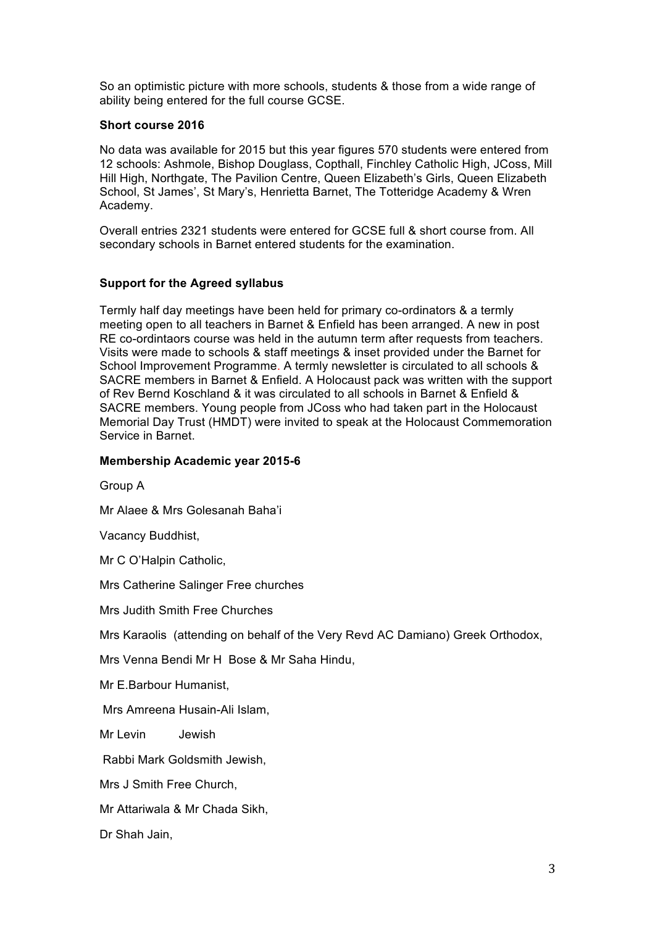So an optimistic picture with more schools, students & those from a wide range of ability being entered for the full course GCSE.

#### **Short course 2016**

No data was available for 2015 but this year figures 570 students were entered from 12 schools: Ashmole, Bishop Douglass, Copthall, Finchley Catholic High, JCoss, Mill Hill High, Northgate, The Pavilion Centre, Queen Elizabeth's Girls, Queen Elizabeth School, St James', St Mary's, Henrietta Barnet, The Totteridge Academy & Wren Academy.

Overall entries 2321 students were entered for GCSE full & short course from. All secondary schools in Barnet entered students for the examination.

## **Support for the Agreed syllabus**

Termly half day meetings have been held for primary co-ordinators & a termly meeting open to all teachers in Barnet & Enfield has been arranged. A new in post RE co-ordintaors course was held in the autumn term after requests from teachers. Visits were made to schools & staff meetings & inset provided under the Barnet for School Improvement Programme. A termly newsletter is circulated to all schools & SACRE members in Barnet & Enfield. A Holocaust pack was written with the support of Rev Bernd Koschland & it was circulated to all schools in Barnet & Enfield & SACRE members. Young people from JCoss who had taken part in the Holocaust Memorial Day Trust (HMDT) were invited to speak at the Holocaust Commemoration Service in Barnet.

## **Membership Academic year 2015-6**

Group A

Mr Alaee & Mrs Golesanah Baha'i

Vacancy Buddhist,

Mr C O'Halpin Catholic,

Mrs Catherine Salinger Free churches

Mrs Judith Smith Free Churches

Mrs Karaolis (attending on behalf of the Very Revd AC Damiano) Greek Orthodox,

Mrs Venna Bendi Mr H Bose & Mr Saha Hindu,

Mr E.Barbour Humanist,

Mrs Amreena Husain-Ali Islam,

Mr Levin Jewish

Rabbi Mark Goldsmith Jewish,

Mrs J Smith Free Church,

Mr Attariwala & Mr Chada Sikh,

Dr Shah Jain,